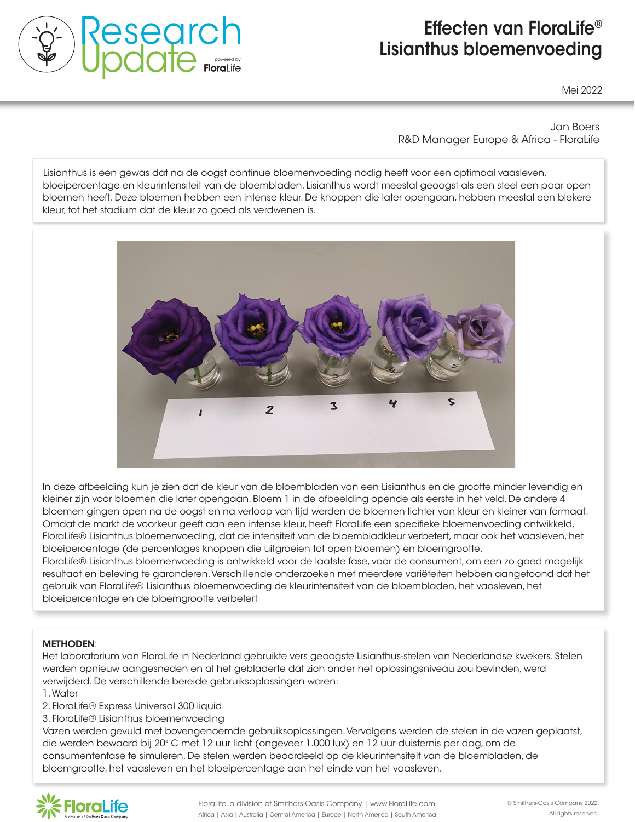

# Effecten van FloraLife® Lisianthus bloemenvoeding

Mei 2022

Jan Boers R&D Manager Europe & Africa - FloraLife

the natural development of roses. The natural process is a redisting on the natural development of the natural continuous components of the natural development of the natural development of the natural development of the n bloeipercentage en kleurintensiteit van de bloembladen. Lisianthus wordt meestal geoogst als een steel een paar open procipereeringge en kiedminen and c bloemen heeft. Deze bloemen hebben een intense kleur. De knoppen die later opengaan, hebben meestal een blekere<br>. kleur, tot het stadium dat de kleur zo goed als verdwenen is. Lisianthus is een gewas dat na de oogst continue bloemenvoeding nodig heeft voor een optimaal vaasleven,



In deze afbeelding kun je zien dat de kleur van de bloembladen van een Lisianthus en de grootte minder levendig en kleiner zijn voor bloemen die later opengaan. Bloem 1 in de afbeelding opende als eerste in het veld. De andere 4 bloemen gingen open na de oogst en na verloop van tijd werden de bloemen lichter van kleur en kleiner van formaat. Omdat de markt de voorkeur geeft aan een intense kleur, heeft FloraLife een specifieke bloemenvoeding ontwikkeld, FloraLife® Lisianthus bloemenvoeding, dat de intensiteit van de bloembladkleur verbetert, maar ook het vaasleven, het bloeipercentage (de percentages knoppen die uitgroeien tot open bloemen) en bloemgrootte.

FloraLife® Express 200 storage solution for FloraLife® Lisianthus bloemenvoeding is ontwikkeld voor de laatste fase, voor de consument, om een zo goed mogelijk 72 hours in a flower cooler (2 °C / 35.6 °F) is a flower cooler (3 °C / 35.6 °F) is a flower cooler (3 °C / 35 3. Stems were sized and placed in vases resultaat en beleving te garanderen. Verschillende onderzoeken met meerdere variëteiten hebben aangetoond dat het gebruik van FloraLife® Lisianthus bloemenvoeding de kleurintensiteit van de bloembladen, het vaasleven, het bloeipercentage en de bloemgrootte verbetert

#### Vase life (days) and flower diameter (day 5) METHODEN:

 $(21.2 \pm 0.000)$ 

 $\blacksquare$ were taken onder taken onder taken onder taken onder taken onder taken onder taken onder taken onder taken onder taken onder taken onder taken onder taken onder taken omder taken omder taken omder taken omder taken Het laboratorium van FloraLife in Nederland gebruikte vers geoogste Lisianthus-stelen van Nederlandse kwekers. Stelen werden opnieuw aangesneden en al het gebladerte dat zich onder het oplossingsniveau zou bevinden, werd verwijderd. De verschillende bereide gebruiksoplossingen waren:

- 1. Water
- 2. FloraLife® Express Universal 300 liquid
- 3. FloraLife® Lisianthus bloemenvoeding

additional disponsion in the boundary.<br>Vazen werden aevuld met bovenaenoemde aebruiksoplossinaen. Vervolaens werden de stelen in de vazen aeplaatst. die werden bewaard bij 20° C met 12 uur licht (ongeveer 1.000 lux) en 12 uur duisternis per dag, om de consumentenfase te simuleren. De stelen werden beoordeeld op de kleurintensiteit van de bloembladen, de bloemgrootte, het vaasleven en het bloeipercentage aan het einde van het vaasleven. Vazen werden gevuld met bovengenoemde gebruiksoplossingen. Vervolgens werden de stelen in de vazen geplaatst,<br>.

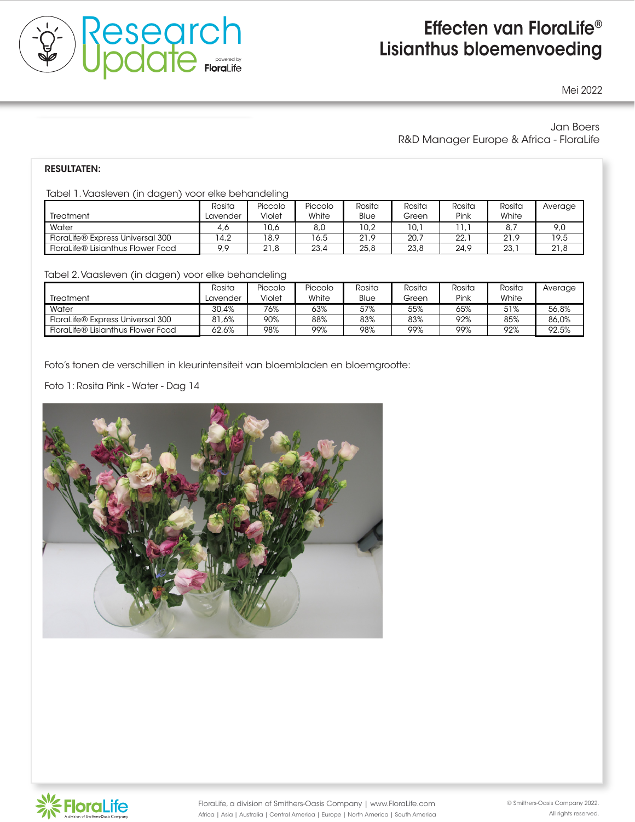

# Effecten van FloraLife® Lisianthus bloemenvoeding

Mei 2022

### Jan Boers R&D Manager Europe & Africa - FloraLife

additional 0.4 cm with 'Pink Floyd' to 1.5 cm with 'Freedom' and 'High and Exotic'.

200 and vases of FloraLife® Express 300 increased vase life and flower opening

FloraLife® Rose Enhancer increased vase life by 2.4 days and flower diameter

#### the natural development of roses. The RESULTATEN:

Tabel 1. Vaasleven (in dagen) voor elke behandeling When averaged over all cultivars, FloraLife® Rose Enhancer increased stemming and the enhancer increased stemming and

|                                   | Rosita   | Piccolo | Piccolo | Rosita | Rosita | Rosita | Rosita | Average |
|-----------------------------------|----------|---------|---------|--------|--------|--------|--------|---------|
| Treatment                         | Lavender | Violet  | White   | Blue   | Green  | Pink   | White  |         |
| Water                             | 4.6      | 10,6    | 8,0     | 10.2   | IO.'   |        | 8,     | 9,0     |
| FloraLife® Express Universal 300  | 4.2      | 18.9    | 16,5    | 21.9   | 20.7   | 22.1   | 21.9   | 19,5    |
| FloraLife® Lisianthus Flower Food | 9.9      | 21.8    | 23,4    | 25.8   | 23,8   | 24,9   | 23.7   | 21,8    |

Tahel 2 Vaasleven (in dagen) voor elke het Tabel 2. Vaasleven (in dagen) voor elke behandeling.<br>Tabel 2. Vaasleven (in dagen) voor elke behandeling.

|                                   | Rosita   | Piccolo | Piccolo | Rosita | Rosita | Rosita | Rosita | Average |
|-----------------------------------|----------|---------|---------|--------|--------|--------|--------|---------|
| <b>Treatment</b>                  | Lavender | Violet  | White   | Blue   | Green  | Pink   | White  |         |
| Water                             | 30.4%    | 76%     | 63%     | 57%    | 55%    | 65%    | 51%    | 56.8%   |
| FloraLife® Express Universal 300  | 81.6%    | 90%     | 88%     | 83%    | 83%    | 92%    | 85%    | 86.0%   |
| FloraLife® Lisianthus Flower Food | 62.6%    | 98%     | 99%     | 98%    | 99%    | 99%    | 92%    | 92,5%   |
|                                   |          |         |         |        |        |        |        |         |

Foto's tonen de verschillen in kleurintensiteit van bloembladen en bloemgrootte:

Methods Foto 1: Rosita Pink - Water - Dag 14